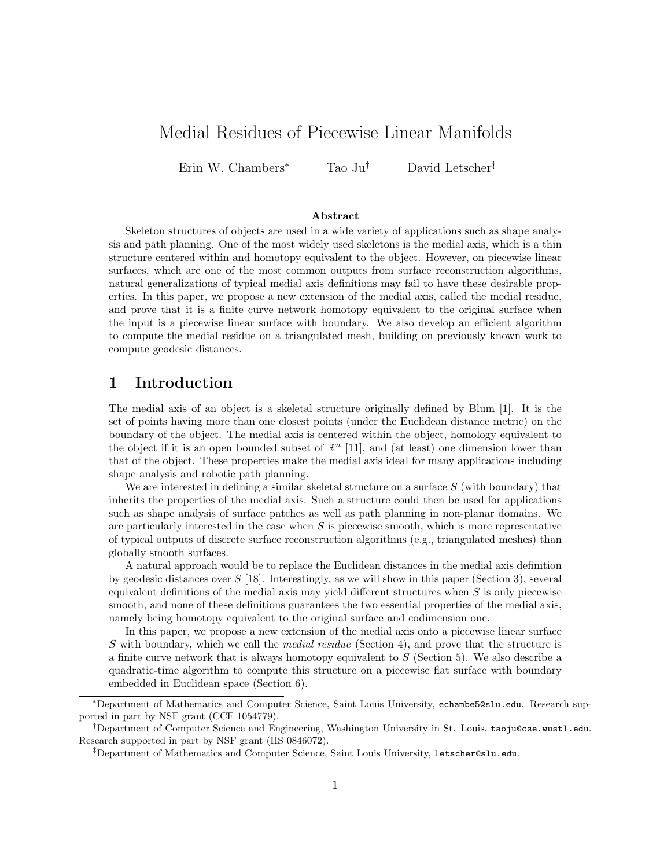# Medial Residues of Piecewise Linear Manifolds

Erin W. Chambers<sup>∗</sup> Tao Ju† David Letscher‡

#### Abstract

Skeleton structures of objects are used in a wide variety of applications such as shape analysis and path planning. One of the most widely used skeletons is the medial axis, which is a thin structure centered within and homotopy equivalent to the object. However, on piecewise linear surfaces, which are one of the most common outputs from surface reconstruction algorithms, natural generalizations of typical medial axis definitions may fail to have these desirable properties. In this paper, we propose a new extension of the medial axis, called the medial residue, and prove that it is a finite curve network homotopy equivalent to the original surface when the input is a piecewise linear surface with boundary. We also develop an efficient algorithm to compute the medial residue on a triangulated mesh, building on previously known work to compute geodesic distances.

# 1 Introduction

The medial axis of an object is a skeletal structure originally defined by Blum [1]. It is the set of points having more than one closest points (under the Euclidean distance metric) on the boundary of the object. The medial axis is centered within the object, homology equivalent to the object if it is an open bounded subset of  $\mathbb{R}^n$  [11], and (at least) one dimension lower than that of the object. These properties make the medial axis ideal for many applications including shape analysis and robotic path planning.

We are interested in defining a similar skeletal structure on a surface  $S$  (with boundary) that inherits the properties of the medial axis. Such a structure could then be used for applications such as shape analysis of surface patches as well as path planning in non-planar domains. We are particularly interested in the case when  $S$  is piecewise smooth, which is more representative of typical outputs of discrete surface reconstruction algorithms (e.g., triangulated meshes) than globally smooth surfaces.

A natural approach would be to replace the Euclidean distances in the medial axis definition by geodesic distances over  $S$  [18]. Interestingly, as we will show in this paper (Section 3), several equivalent definitions of the medial axis may yield different structures when  $S$  is only piecewise smooth, and none of these definitions guarantees the two essential properties of the medial axis, namely being homotopy equivalent to the original surface and codimension one.

In this paper, we propose a new extension of the medial axis onto a piecewise linear surface S with boundary, which we call the *medial residue* (Section 4), and prove that the structure is a finite curve network that is always homotopy equivalent to  $S$  (Section 5). We also describe a quadratic-time algorithm to compute this structure on a piecewise flat surface with boundary embedded in Euclidean space (Section 6).

<sup>∗</sup>Department of Mathematics and Computer Science, Saint Louis University, echambe5@slu.edu. Research supported in part by NSF grant (CCF 1054779).

<sup>†</sup>Department of Computer Science and Engineering, Washington University in St. Louis, taoju@cse.wustl.edu. Research supported in part by NSF grant (IIS 0846072).

<sup>‡</sup>Department of Mathematics and Computer Science, Saint Louis University, letscher@slu.edu.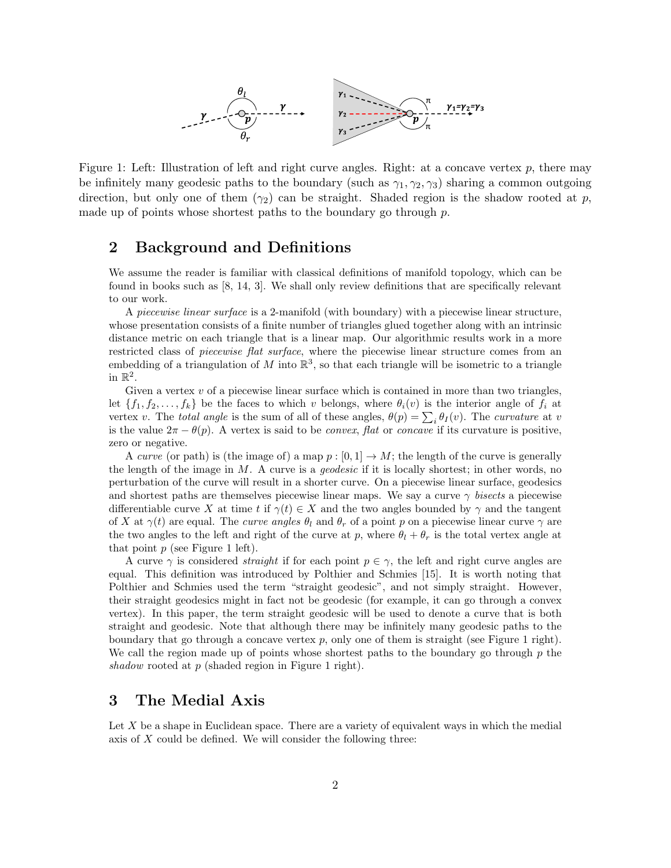

Figure 1: Left: Illustration of left and right curve angles. Right: at a concave vertex  $p$ , there may be infinitely many geodesic paths to the boundary (such as  $\gamma_1, \gamma_2, \gamma_3$ ) sharing a common outgoing direction, but only one of them  $(\gamma_2)$  can be straight. Shaded region is the shadow rooted at p, made up of points whose shortest paths to the boundary go through  $p$ .

# 2 Background and Definitions

We assume the reader is familiar with classical definitions of manifold topology, which can be found in books such as [8, 14, 3]. We shall only review definitions that are specifically relevant to our work.

A piecewise linear surface is a 2-manifold (with boundary) with a piecewise linear structure, whose presentation consists of a finite number of triangles glued together along with an intrinsic distance metric on each triangle that is a linear map. Our algorithmic results work in a more restricted class of *piecewise flat surface*, where the piecewise linear structure comes from an embedding of a triangulation of M into  $\mathbb{R}^3$ , so that each triangle will be isometric to a triangle in  $\mathbb{R}^2$ .

Given a vertex  $v$  of a piecewise linear surface which is contained in more than two triangles, let  $\{f_1, f_2, \ldots, f_k\}$  be the faces to which v belongs, where  $\theta_i(v)$  is the interior angle of  $f_i$  at vertex v. The total angle is the sum of all of these angles,  $\theta(p) = \sum_i \theta_I(v)$ . The curvature at v is the value  $2\pi - \theta(p)$ . A vertex is said to be *convex*, flat or *concave* if its curvature is positive, zero or negative.

A curve (or path) is (the image of) a map  $p:[0,1] \to M$ ; the length of the curve is generally the length of the image in  $M$ . A curve is a *geodesic* if it is locally shortest; in other words, no perturbation of the curve will result in a shorter curve. On a piecewise linear surface, geodesics and shortest paths are themselves piecewise linear maps. We say a curve  $\gamma$  bisects a piecewise differentiable curve X at time t if  $\gamma(t) \in X$  and the two angles bounded by  $\gamma$  and the tangent of X at  $\gamma(t)$  are equal. The *curve angles*  $\theta_l$  and  $\theta_r$  of a point p on a piecewise linear curve  $\gamma$  are the two angles to the left and right of the curve at p, where  $\theta_l + \theta_r$  is the total vertex angle at that point  $p$  (see Figure 1 left).

A curve  $\gamma$  is considered *straight* if for each point  $p \in \gamma$ , the left and right curve angles are equal. This definition was introduced by Polthier and Schmies [15]. It is worth noting that Polthier and Schmies used the term "straight geodesic", and not simply straight. However, their straight geodesics might in fact not be geodesic (for example, it can go through a convex vertex). In this paper, the term straight geodesic will be used to denote a curve that is both straight and geodesic. Note that although there may be infinitely many geodesic paths to the boundary that go through a concave vertex  $p$ , only one of them is straight (see Figure 1 right). We call the region made up of points whose shortest paths to the boundary go through  $p$  the shadow rooted at  $p$  (shaded region in Figure 1 right).

# 3 The Medial Axis

Let  $X$  be a shape in Euclidean space. There are a variety of equivalent ways in which the medial axis of  $X$  could be defined. We will consider the following three: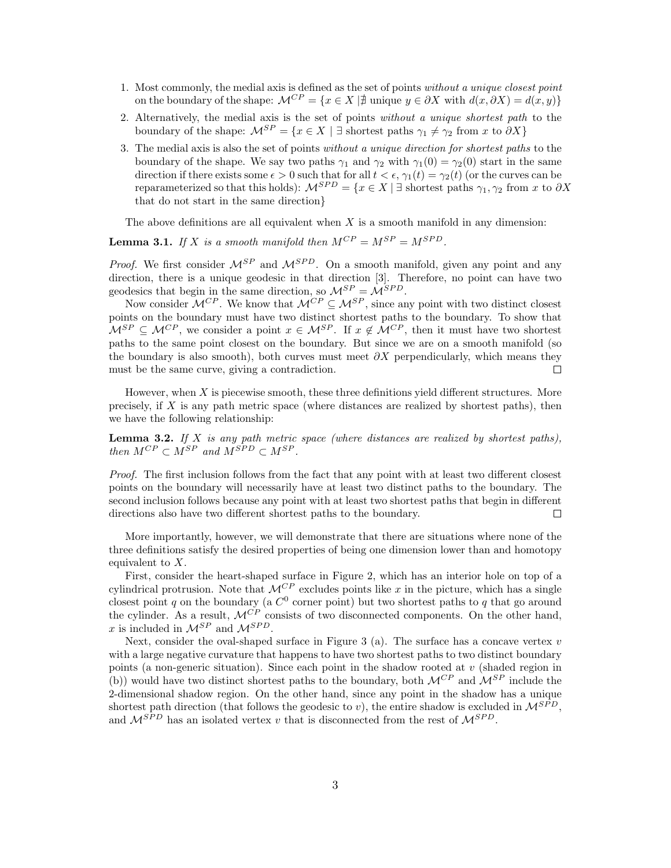- 1. Most commonly, the medial axis is defined as the set of points without a unique closest point on the boundary of the shape:  $\mathcal{M}^{CP} = \{x \in X \mid \exists \text{ unique } y \in \partial X \text{ with } d(x, \partial X) = d(x, y)\}\$
- 2. Alternatively, the medial axis is the set of points without a unique shortest path to the boundary of the shape:  $\mathcal{M}^{SP} = \{x \in X \mid \exists \text{ shortest paths } \gamma_1 \neq \gamma_2 \text{ from } x \text{ to } \partial X\}$
- 3. The medial axis is also the set of points without a unique direction for shortest paths to the boundary of the shape. We say two paths  $\gamma_1$  and  $\gamma_2$  with  $\gamma_1(0) = \gamma_2(0)$  start in the same direction if there exists some  $\epsilon > 0$  such that for all  $t < \epsilon$ ,  $\gamma_1(t) = \gamma_2(t)$  (or the curves can be reparameterized so that this holds):  $\mathcal{M}^{SPD} = \{x \in X \mid \exists \text{ shortest paths } \gamma_1, \gamma_2 \text{ from } x \text{ to } \partial X\}$ that do not start in the same direction}

The above definitions are all equivalent when  $X$  is a smooth manifold in any dimension:

**Lemma 3.1.** If X is a smooth manifold then  $M^{CP} = M^{SP} = M^{SPD}$ .

*Proof.* We first consider  $\mathcal{M}^{SP}$  and  $\mathcal{M}^{SPD}$ . On a smooth manifold, given any point and any direction, there is a unique geodesic in that direction [3]. Therefore, no point can have two geodesics that begin in the same direction, so  $\mathcal{M}^{SP} = \mathcal{M}^{SPD}$ .

Now consider  $\mathcal{M}^{CP}$ . We know that  $\mathcal{M}^{CP} \subseteq \mathcal{M}^{SP}$ , since any point with two distinct closest points on the boundary must have two distinct shortest paths to the boundary. To show that  $M^{SP} \subseteq M^{CP}$ , we consider a point  $x \in M^{SP}$ . If  $x \notin M^{CP}$ , then it must have two shortest paths to the same point closest on the boundary. But since we are on a smooth manifold (so the boundary is also smooth), both curves must meet  $\partial X$  perpendicularly, which means they must be the same curve, giving a contradiction.  $\Box$ 

However, when  $X$  is piecewise smooth, these three definitions yield different structures. More precisely, if  $X$  is any path metric space (where distances are realized by shortest paths), then we have the following relationship:

**Lemma 3.2.** If  $X$  is any path metric space (where distances are realized by shortest paths), then  $M^{CP} \subset M^{SP}$  and  $M^{SPD} \subset M^{SP}$ .

Proof. The first inclusion follows from the fact that any point with at least two different closest points on the boundary will necessarily have at least two distinct paths to the boundary. The second inclusion follows because any point with at least two shortest paths that begin in different directions also have two different shortest paths to the boundary.  $\Box$ 

More importantly, however, we will demonstrate that there are situations where none of the three definitions satisfy the desired properties of being one dimension lower than and homotopy equivalent to X.

First, consider the heart-shaped surface in Figure 2, which has an interior hole on top of a cylindrical protrusion. Note that  $\mathcal{M}^{CP}$  excludes points like x in the picture, which has a single closest point q on the boundary (a  $C^0$  corner point) but two shortest paths to q that go around the cylinder. As a result,  $\mathcal{M}^{\tilde{CP}}$  consists of two disconnected components. On the other hand, x is included in  $\mathcal{M}^{SP}$  and  $\mathcal{M}^{SPD}$ .

Next, consider the oval-shaped surface in Figure 3 (a). The surface has a concave vertex  $v$ with a large negative curvature that happens to have two shortest paths to two distinct boundary points (a non-generic situation). Since each point in the shadow rooted at  $v$  (shaded region in (b)) would have two distinct shortest paths to the boundary, both  $\mathcal{M}^{CP}$  and  $\mathcal{M}^{SP}$  include the 2-dimensional shadow region. On the other hand, since any point in the shadow has a unique shortest path direction (that follows the geodesic to v), the entire shadow is excluded in  $\mathcal{M}^{SPD}$ , and  $\mathcal{M}^{SPD}$  has an isolated vertex v that is disconnected from the rest of  $\mathcal{M}^{SPD}$ .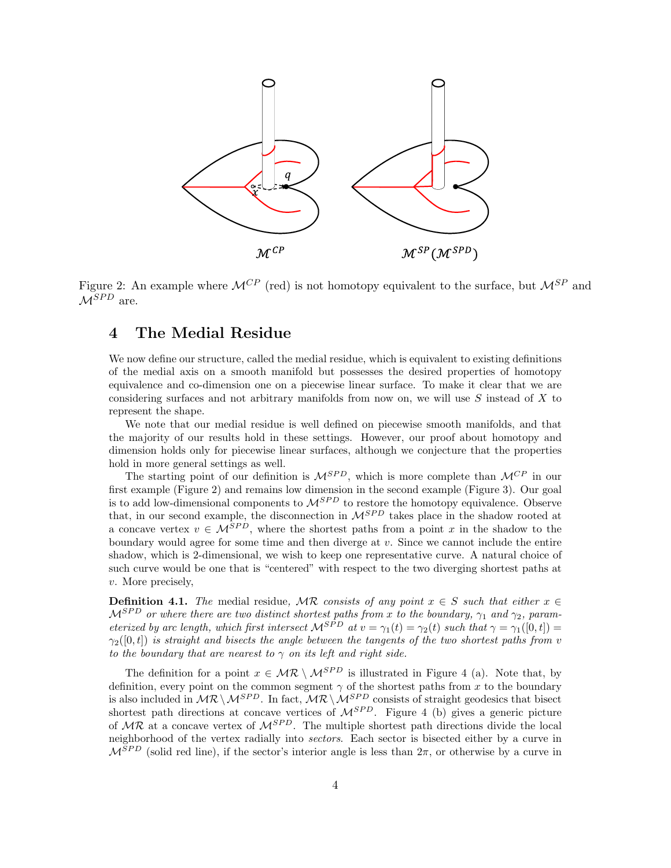

Figure 2: An example where  $\mathcal{M}^{CP}$  (red) is not homotopy equivalent to the surface, but  $\mathcal{M}^{SP}$  and  $\mathcal{M}^{SPD}$  are.

# 4 The Medial Residue

We now define our structure, called the medial residue, which is equivalent to existing definitions of the medial axis on a smooth manifold but possesses the desired properties of homotopy equivalence and co-dimension one on a piecewise linear surface. To make it clear that we are considering surfaces and not arbitrary manifolds from now on, we will use  $S$  instead of  $X$  to represent the shape.

We note that our medial residue is well defined on piecewise smooth manifolds, and that the majority of our results hold in these settings. However, our proof about homotopy and dimension holds only for piecewise linear surfaces, although we conjecture that the properties hold in more general settings as well.

The starting point of our definition is  $\mathcal{M}^{SPD}$ , which is more complete than  $\mathcal{M}^{CP}$  in our first example (Figure 2) and remains low dimension in the second example (Figure 3). Our goal is to add low-dimensional components to  $\mathcal{M}^{SPD}$  to restore the homotopy equivalence. Observe that, in our second example, the disconnection in  $\mathcal{M}^{SPD}$  takes place in the shadow rooted at a concave vertex  $v \in \mathcal{M}^{SPD}$ , where the shortest paths from a point x in the shadow to the boundary would agree for some time and then diverge at  $v$ . Since we cannot include the entire shadow, which is 2-dimensional, we wish to keep one representative curve. A natural choice of such curve would be one that is "centered" with respect to the two diverging shortest paths at v. More precisely,

**Definition 4.1.** The medial residue, MR consists of any point  $x \in S$  such that either  $x \in S$  $\mathcal{M}^{SPD}$  or where there are two distinct shortest paths from x to the boundary,  $\gamma_1$  and  $\gamma_2$ , parameterized by arc length, which first intersect  $\mathcal{M}^{SPD}$  at  $v = \gamma_1(t) = \gamma_2(t)$  such that  $\gamma = \gamma_1([0, t])$  $\gamma_2([0,t])$  is straight and bisects the angle between the tangents of the two shortest paths from v to the boundary that are nearest to  $\gamma$  on its left and right side.

The definition for a point  $x \in \mathcal{MR} \setminus \mathcal{M}^{SPD}$  is illustrated in Figure 4 (a). Note that, by definition, every point on the common segment  $\gamma$  of the shortest paths from x to the boundary is also included in  $MR \setminus M^{SPD}$ . In fact,  $MR \setminus M^{SPD}$  consists of straight geodesics that bisect shortest path directions at concave vertices of  $M^{SPD}$ . Figure 4 (b) gives a generic picture of  $MR$  at a concave vertex of  $M^{SPD}$ . The multiple shortest path directions divide the local neighborhood of the vertex radially into sectors. Each sector is bisected either by a curve in  $\mathcal{M}^{SPD}$  (solid red line), if the sector's interior angle is less than  $2\pi$ , or otherwise by a curve in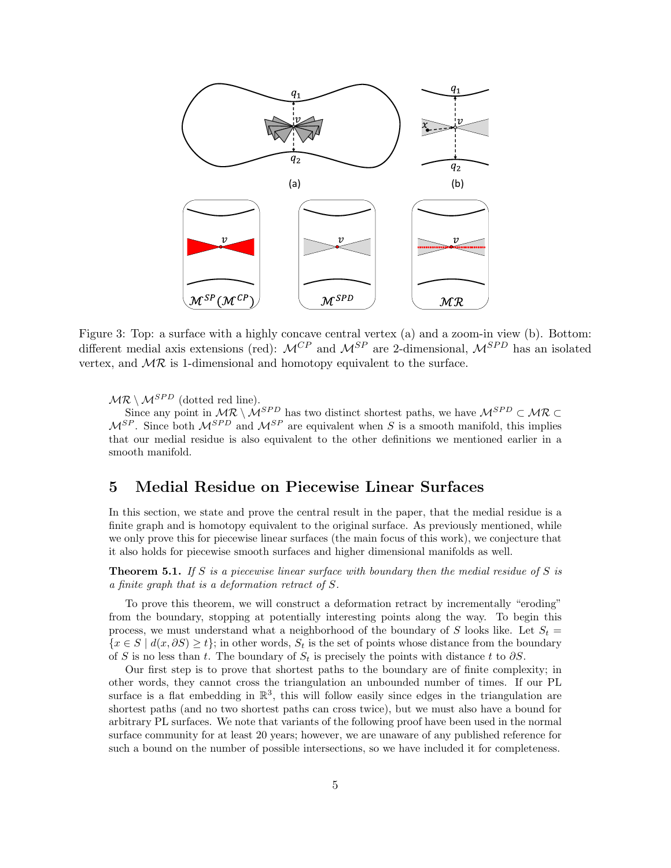

Figure 3: Top: a surface with a highly concave central vertex (a) and a zoom-in view (b). Bottom: different medial axis extensions (red):  $\mathcal{M}^{CP}$  and  $\mathcal{M}^{SP}$  are 2-dimensional,  $\mathcal{M}^{SPD}$  has an isolated vertex, and  $MR$  is 1-dimensional and homotopy equivalent to the surface.

 $MR \setminus M^{SPD}$  (dotted red line).

Since any point in  $MR \setminus M^{SPD}$  has two distinct shortest paths, we have  $M^{SPD} \subset MR \subset$  $M^{SP}$ . Since both  $M^{SPD}$  and  $M^{SP}$  are equivalent when S is a smooth manifold, this implies that our medial residue is also equivalent to the other definitions we mentioned earlier in a smooth manifold.

# 5 Medial Residue on Piecewise Linear Surfaces

In this section, we state and prove the central result in the paper, that the medial residue is a finite graph and is homotopy equivalent to the original surface. As previously mentioned, while we only prove this for piecewise linear surfaces (the main focus of this work), we conjecture that it also holds for piecewise smooth surfaces and higher dimensional manifolds as well.

**Theorem 5.1.** If S is a piecewise linear surface with boundary then the medial residue of S is a finite graph that is a deformation retract of S.

To prove this theorem, we will construct a deformation retract by incrementally "eroding" from the boundary, stopping at potentially interesting points along the way. To begin this process, we must understand what a neighborhood of the boundary of S looks like. Let  $S_t$  =  $\{x \in S \mid d(x, \partial S) \geq t\}$ ; in other words,  $S_t$  is the set of points whose distance from the boundary of S is no less than t. The boundary of  $S_t$  is precisely the points with distance t to  $\partial S$ .

Our first step is to prove that shortest paths to the boundary are of finite complexity; in other words, they cannot cross the triangulation an unbounded number of times. If our PL surface is a flat embedding in  $\mathbb{R}^3$ , this will follow easily since edges in the triangulation are shortest paths (and no two shortest paths can cross twice), but we must also have a bound for arbitrary PL surfaces. We note that variants of the following proof have been used in the normal surface community for at least 20 years; however, we are unaware of any published reference for such a bound on the number of possible intersections, so we have included it for completeness.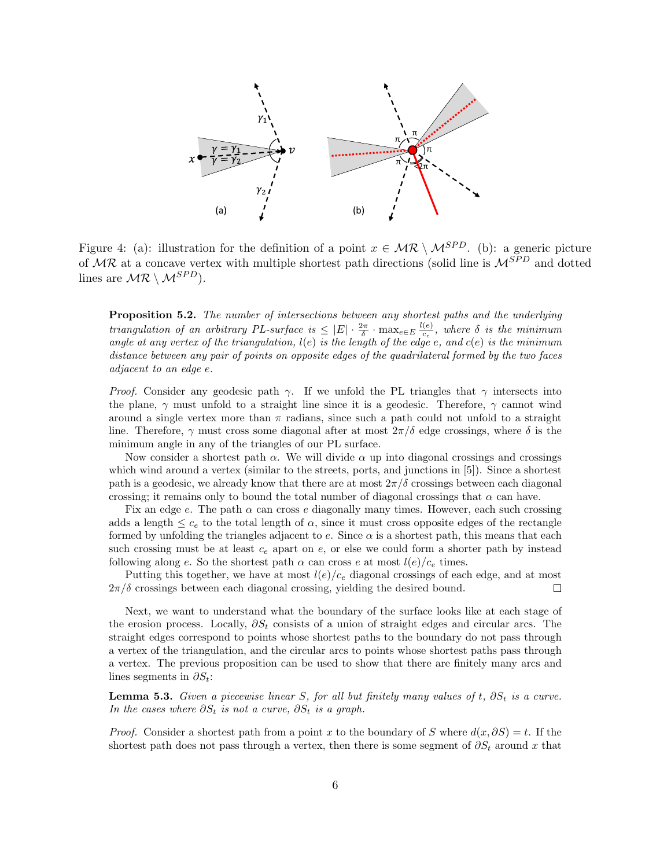

Figure 4: (a): illustration for the definition of a point  $x \in \mathcal{MR} \setminus \mathcal{M}^{SPD}$ . (b): a generic picture of  $MR$  at a concave vertex with multiple shortest path directions (solid line is  $M^{SPD}$  and dotted lines are  $MR \setminus M^{SPD}$ ).

Proposition 5.2. The number of intersections between any shortest paths and the underlying triangulation of an arbitrary PL-surface is  $\leq |E| \cdot \frac{2\pi}{\delta} \cdot \max_{e \in E} \frac{l(e)}{c_e}$  $\frac{(e)}{c_e}$ , where  $\delta$  is the minimum angle at any vertex of the triangulation,  $l(e)$  is the length of the edge e, and  $c(e)$  is the minimum distance between any pair of points on opposite edges of the quadrilateral formed by the two faces adjacent to an edge e.

*Proof.* Consider any geodesic path  $\gamma$ . If we unfold the PL triangles that  $\gamma$  intersects into the plane,  $\gamma$  must unfold to a straight line since it is a geodesic. Therefore,  $\gamma$  cannot wind around a single vertex more than  $\pi$  radians, since such a path could not unfold to a straight line. Therefore,  $\gamma$  must cross some diagonal after at most  $2\pi/\delta$  edge crossings, where  $\delta$  is the minimum angle in any of the triangles of our PL surface.

Now consider a shortest path  $\alpha$ . We will divide  $\alpha$  up into diagonal crossings and crossings which wind around a vertex (similar to the streets, ports, and junctions in [5]). Since a shortest path is a geodesic, we already know that there are at most  $2\pi/\delta$  crossings between each diagonal crossing; it remains only to bound the total number of diagonal crossings that  $\alpha$  can have.

Fix an edge e. The path  $\alpha$  can cross e diagonally many times. However, each such crossing adds a length  $\leq c_e$  to the total length of  $\alpha$ , since it must cross opposite edges of the rectangle formed by unfolding the triangles adjacent to e. Since  $\alpha$  is a shortest path, this means that each such crossing must be at least  $c_e$  apart on  $e$ , or else we could form a shorter path by instead following along e. So the shortest path  $\alpha$  can cross e at most  $l(e)/c_e$  times.

Putting this together, we have at most  $l(e)/c_e$  diagonal crossings of each edge, and at most  $2\pi/\delta$  crossings between each diagonal crossing, yielding the desired bound.  $\Box$ 

Next, we want to understand what the boundary of the surface looks like at each stage of the erosion process. Locally,  $\partial S_t$  consists of a union of straight edges and circular arcs. The straight edges correspond to points whose shortest paths to the boundary do not pass through a vertex of the triangulation, and the circular arcs to points whose shortest paths pass through a vertex. The previous proposition can be used to show that there are finitely many arcs and lines segments in  $\partial S_t$ :

**Lemma 5.3.** Given a piecewise linear S, for all but finitely many values of t,  $\partial S_t$  is a curve. In the cases where  $\partial S_t$  is not a curve,  $\partial S_t$  is a graph.

*Proof.* Consider a shortest path from a point x to the boundary of S where  $d(x, \partial S) = t$ . If the shortest path does not pass through a vertex, then there is some segment of  $\partial S_t$  around x that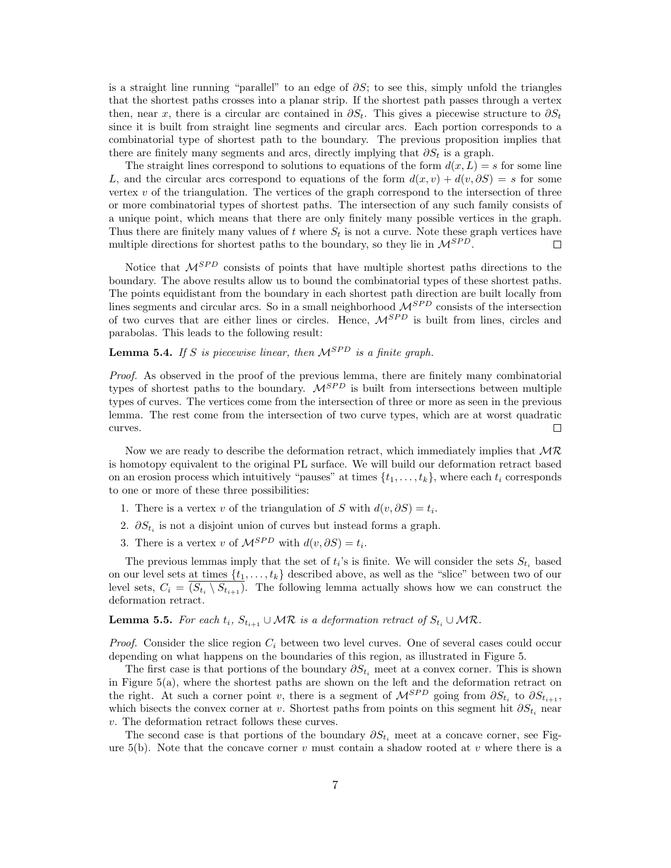is a straight line running "parallel" to an edge of  $\partial S$ ; to see this, simply unfold the triangles that the shortest paths crosses into a planar strip. If the shortest path passes through a vertex then, near x, there is a circular arc contained in  $\partial S_t$ . This gives a piecewise structure to  $\partial S_t$ since it is built from straight line segments and circular arcs. Each portion corresponds to a combinatorial type of shortest path to the boundary. The previous proposition implies that there are finitely many segments and arcs, directly implying that  $\partial S_t$  is a graph.

The straight lines correspond to solutions to equations of the form  $d(x, L) = s$  for some line L, and the circular arcs correspond to equations of the form  $d(x, v) + d(v, \partial S) = s$  for some vertex  $v$  of the triangulation. The vertices of the graph correspond to the intersection of three or more combinatorial types of shortest paths. The intersection of any such family consists of a unique point, which means that there are only finitely many possible vertices in the graph. Thus there are finitely many values of t where  $S_t$  is not a curve. Note these graph vertices have multiple directions for shortest paths to the boundary, so they lie in  $\mathcal{M}^{SPD}$ .  $\Box$ 

Notice that  $\mathcal{M}^{SPD}$  consists of points that have multiple shortest paths directions to the boundary. The above results allow us to bound the combinatorial types of these shortest paths. The points equidistant from the boundary in each shortest path direction are built locally from lines segments and circular arcs. So in a small neighborhood  $\mathcal{M}^{SPD}$  consists of the intersection of two curves that are either lines or circles. Hence,  $\mathcal{M}^{SPD}$  is built from lines, circles and parabolas. This leads to the following result:

**Lemma 5.4.** If S is piecewise linear, then  $\mathcal{M}^{SPD}$  is a finite graph.

Proof. As observed in the proof of the previous lemma, there are finitely many combinatorial types of shortest paths to the boundary.  $\mathcal{M}^{SPD}$  is built from intersections between multiple types of curves. The vertices come from the intersection of three or more as seen in the previous lemma. The rest come from the intersection of two curve types, which are at worst quadratic curves.  $\Box$ 

Now we are ready to describe the deformation retract, which immediately implies that  $MR$ is homotopy equivalent to the original PL surface. We will build our deformation retract based on an erosion process which intuitively "pauses" at times  $\{t_1, \ldots, t_k\}$ , where each  $t_i$  corresponds to one or more of these three possibilities:

- 1. There is a vertex v of the triangulation of S with  $d(v, \partial S) = t_i$ .
- 2.  $\partial S_{t_i}$  is not a disjoint union of curves but instead forms a graph.
- 3. There is a vertex v of  $\mathcal{M}^{SPD}$  with  $d(v, \partial S) = t_i$ .

The previous lemmas imply that the set of  $t_i$ 's is finite. We will consider the sets  $S_{t_i}$  based on our level sets at times  $\{t_1, \ldots, t_k\}$  described above, as well as the "slice" between two of our level sets,  $C_i = (S_{t_i} \setminus S_{t_{i+1}})$ . The following lemma actually shows how we can construct the deformation retract.

**Lemma 5.5.** For each  $t_i$ ,  $S_{t_{i+1}} \cup \mathcal{MR}$  is a deformation retract of  $S_{t_i} \cup \mathcal{MR}$ .

*Proof.* Consider the slice region  $C_i$  between two level curves. One of several cases could occur depending on what happens on the boundaries of this region, as illustrated in Figure 5.

The first case is that portions of the boundary  $\partial S_{t_i}$  meet at a convex corner. This is shown in Figure 5(a), where the shortest paths are shown on the left and the deformation retract on the right. At such a corner point v, there is a segment of  $\mathcal{M}^{SPD}$  going from  $\partial S_{t_i}$  to  $\partial S_{t_{i+1}},$ which bisects the convex corner at v. Shortest paths from points on this segment hit  $\partial S_{t_i}$  near v. The deformation retract follows these curves.

The second case is that portions of the boundary  $\partial S_{t_i}$  meet at a concave corner, see Figure 5(b). Note that the concave corner  $v$  must contain a shadow rooted at  $v$  where there is a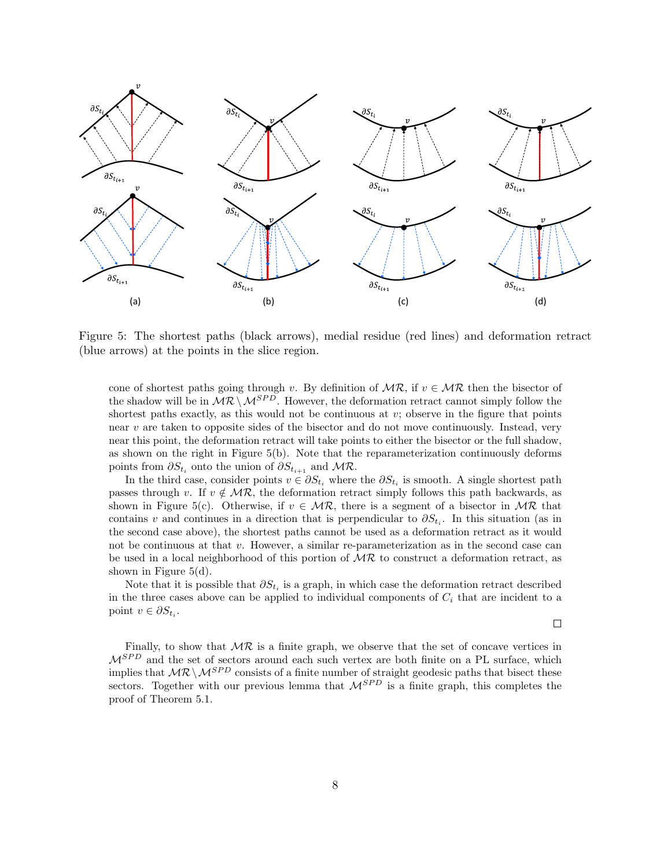

Figure 5: The shortest paths (black arrows), medial residue (red lines) and deformation retract (blue arrows) at the points in the slice region.

cone of shortest paths going through v. By definition of  $MR$ , if  $v \in MR$  then the bisector of the shadow will be in  $\mathcal{MR} \setminus \mathcal{MR}^{SPD}$ . However, the deformation retract cannot simply follow the shortest paths exactly, as this would not be continuous at v; observe in the figure that points near  $v$  are taken to opposite sides of the bisector and do not move continuously. Instead, very near this point, the deformation retract will take points to either the bisector or the full shadow, as shown on the right in Figure 5(b). Note that the reparameterization continuously deforms points from  $\partial S_{t_i}$  onto the union of  $\partial S_{t_{i+1}}$  and  $\mathcal{MR}$ .

In the third case, consider points  $v \in \partial S_{t_i}$  where the  $\partial S_{t_i}$  is smooth. A single shortest path passes through v. If  $v \notin MR$ , the deformation retract simply follows this path backwards, as shown in Figure 5(c). Otherwise, if  $v \in \mathcal{MR}$ , there is a segment of a bisector in  $\mathcal{MR}$  that contains v and continues in a direction that is perpendicular to  $\partial S_{t_i}$ . In this situation (as in the second case above), the shortest paths cannot be used as a deformation retract as it would not be continuous at that v. However, a similar re-parameterization as in the second case can be used in a local neighborhood of this portion of  $MR$  to construct a deformation retract, as shown in Figure 5(d).

Note that it is possible that  $\partial S_{t_i}$  is a graph, in which case the deformation retract described in the three cases above can be applied to individual components of  $C_i$  that are incident to a point  $v \in \partial S_{t_i}$ .

 $\Box$ 

Finally, to show that  $MR$  is a finite graph, we observe that the set of concave vertices in  $\mathcal{M}^{SPD}$  and the set of sectors around each such vertex are both finite on a PL surface, which implies that  $\mathcal{MR} \setminus \mathcal{M}^{SPD}$  consists of a finite number of straight geodesic paths that bisect these sectors. Together with our previous lemma that  $\mathcal{M}^{SPD}$  is a finite graph, this completes the proof of Theorem 5.1.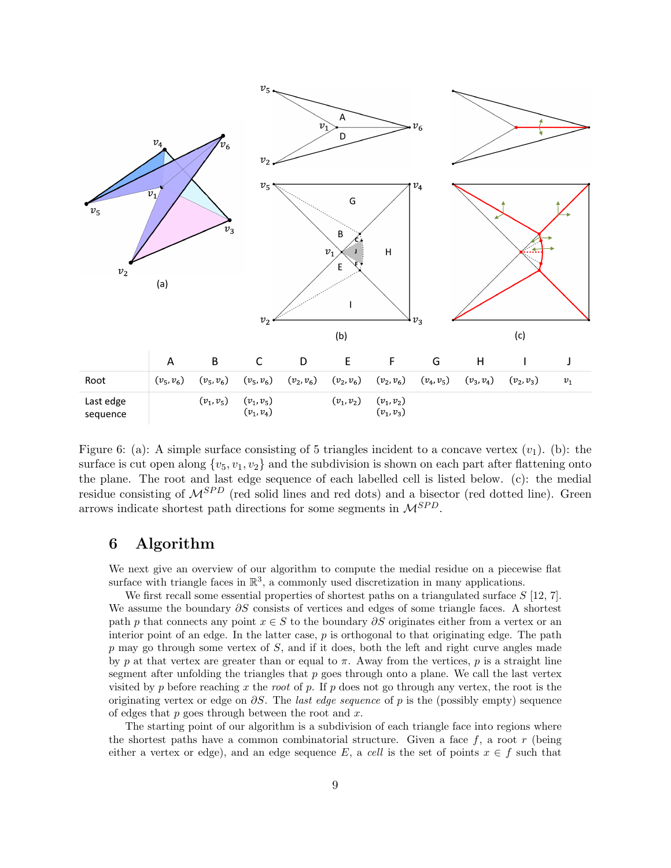

Figure 6: (a): A simple surface consisting of 5 triangles incident to a concave vertex  $(v_1)$ . (b): the surface is cut open along  $\{v_5, v_1, v_2\}$  and the subdivision is shown on each part after flattening onto the plane. The root and last edge sequence of each labelled cell is listed below. (c): the medial residue consisting of  $\mathcal{M}^{SPD}$  (red solid lines and red dots) and a bisector (red dotted line). Green arrows indicate shortest path directions for some segments in  $\mathcal{M}^{SPD}$ .

# 6 Algorithm

We next give an overview of our algorithm to compute the medial residue on a piecewise flat surface with triangle faces in  $\mathbb{R}^3$ , a commonly used discretization in many applications.

We first recall some essential properties of shortest paths on a triangulated surface  $S$  [12, 7]. We assume the boundary  $\partial S$  consists of vertices and edges of some triangle faces. A shortest path p that connects any point  $x \in S$  to the boundary  $\partial S$  originates either from a vertex or an interior point of an edge. In the latter case,  $p$  is orthogonal to that originating edge. The path  $p$  may go through some vertex of  $S$ , and if it does, both the left and right curve angles made by p at that vertex are greater than or equal to  $\pi$ . Away from the vertices, p is a straight line segment after unfolding the triangles that  $p$  goes through onto a plane. We call the last vertex visited by p before reaching x the root of p. If p does not go through any vertex, the root is the originating vertex or edge on  $\partial S$ . The *last edge sequence* of p is the (possibly empty) sequence of edges that  $p$  goes through between the root and  $x$ .

The starting point of our algorithm is a subdivision of each triangle face into regions where the shortest paths have a common combinatorial structure. Given a face  $f$ , a root  $r$  (being either a vertex or edge), and an edge sequence E, a cell is the set of points  $x \in f$  such that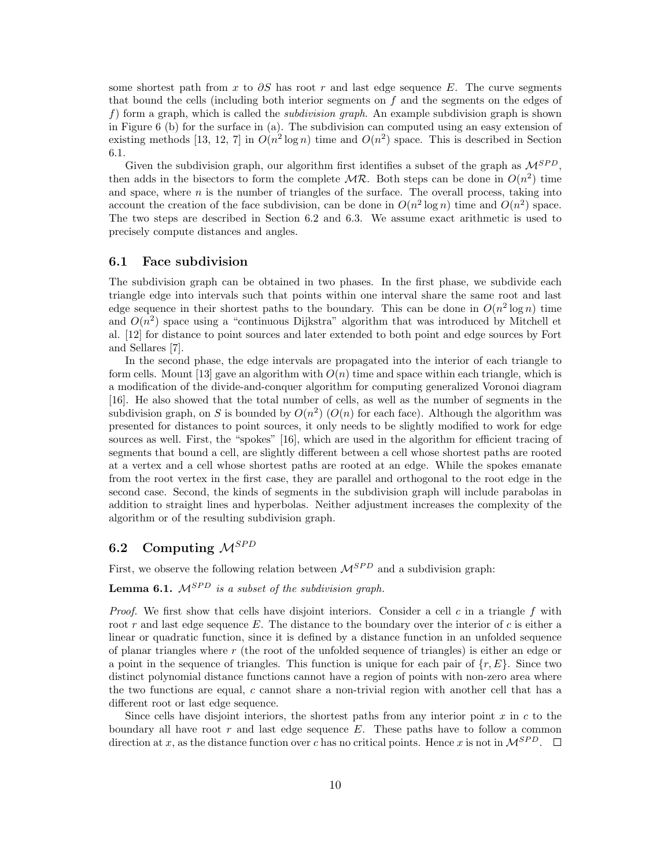some shortest path from x to  $\partial S$  has root r and last edge sequence E. The curve segments that bound the cells (including both interior segments on  $f$  and the segments on the edges of f) form a graph, which is called the *subdivision graph*. An example subdivision graph is shown in Figure 6 (b) for the surface in (a). The subdivision can computed using an easy extension of existing methods [13, 12, 7] in  $O(n^2 \log n)$  time and  $O(n^2)$  space. This is described in Section 6.1.

Given the subdivision graph, our algorithm first identifies a subset of the graph as  $\mathcal{M}^{SPD}$ . then adds in the bisectors to form the complete  $MR$ . Both steps can be done in  $O(n^2)$  time and space, where  $n$  is the number of triangles of the surface. The overall process, taking into account the creation of the face subdivision, can be done in  $O(n^2 \log n)$  time and  $O(n^2)$  space. The two steps are described in Section 6.2 and 6.3. We assume exact arithmetic is used to precisely compute distances and angles.

### 6.1 Face subdivision

The subdivision graph can be obtained in two phases. In the first phase, we subdivide each triangle edge into intervals such that points within one interval share the same root and last edge sequence in their shortest paths to the boundary. This can be done in  $O(n^2 \log n)$  time and  $O(n^2)$  space using a "continuous Dijkstra" algorithm that was introduced by Mitchell et al. [12] for distance to point sources and later extended to both point and edge sources by Fort and Sellares [7].

In the second phase, the edge intervals are propagated into the interior of each triangle to form cells. Mount [13] gave an algorithm with  $O(n)$  time and space within each triangle, which is a modification of the divide-and-conquer algorithm for computing generalized Voronoi diagram [16]. He also showed that the total number of cells, as well as the number of segments in the subdivision graph, on S is bounded by  $O(n^2)$  ( $O(n)$ ) for each face). Although the algorithm was presented for distances to point sources, it only needs to be slightly modified to work for edge sources as well. First, the "spokes" [16], which are used in the algorithm for efficient tracing of segments that bound a cell, are slightly different between a cell whose shortest paths are rooted at a vertex and a cell whose shortest paths are rooted at an edge. While the spokes emanate from the root vertex in the first case, they are parallel and orthogonal to the root edge in the second case. Second, the kinds of segments in the subdivision graph will include parabolas in addition to straight lines and hyperbolas. Neither adjustment increases the complexity of the algorithm or of the resulting subdivision graph.

# 6.2 Computing  $\mathcal{M}^{SPD}$

First, we observe the following relation between  $\mathcal{M}^{SPD}$  and a subdivision graph:

**Lemma 6.1.**  $M^{SPD}$  is a subset of the subdivision graph.

*Proof.* We first show that cells have disjoint interiors. Consider a cell  $c$  in a triangle  $f$  with root r and last edge sequence  $E$ . The distance to the boundary over the interior of c is either a linear or quadratic function, since it is defined by a distance function in an unfolded sequence of planar triangles where  $r$  (the root of the unfolded sequence of triangles) is either an edge or a point in the sequence of triangles. This function is unique for each pair of  $\{r, E\}$ . Since two distinct polynomial distance functions cannot have a region of points with non-zero area where the two functions are equal, c cannot share a non-trivial region with another cell that has a different root or last edge sequence.

Since cells have disjoint interiors, the shortest paths from any interior point  $x$  in  $c$  to the boundary all have root  $r$  and last edge sequence  $E$ . These paths have to follow a common direction at x, as the distance function over c has no critical points. Hence x is not in  $\mathcal{M}^{SPD}$ .  $\Box$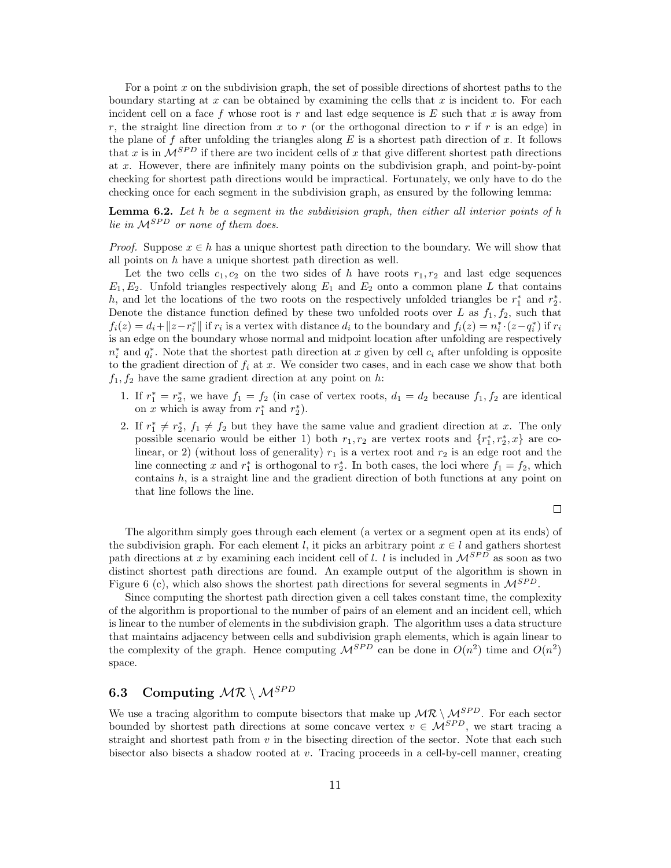For a point  $x$  on the subdivision graph, the set of possible directions of shortest paths to the boundary starting at  $x$  can be obtained by examining the cells that  $x$  is incident to. For each incident cell on a face f whose root is  $r$  and last edge sequence is  $E$  such that  $x$  is away from r, the straight line direction from x to r (or the orthogonal direction to r if r is an edge) in the plane of f after unfolding the triangles along  $E$  is a shortest path direction of  $x$ . It follows that x is in  $\mathcal{M}^{SPD}$  if there are two incident cells of x that give different shortest path directions at x. However, there are infinitely many points on the subdivision graph, and point-by-point checking for shortest path directions would be impractical. Fortunately, we only have to do the checking once for each segment in the subdivision graph, as ensured by the following lemma:

**Lemma 6.2.** Let h be a segment in the subdivision graph, then either all interior points of h lie in  $\mathcal{M}^{SPD}$  or none of them does.

*Proof.* Suppose  $x \in h$  has a unique shortest path direction to the boundary. We will show that all points on  $h$  have a unique shortest path direction as well.

Let the two cells  $c_1, c_2$  on the two sides of h have roots  $r_1, r_2$  and last edge sequences  $E_1, E_2$ . Unfold triangles respectively along  $E_1$  and  $E_2$  onto a common plane L that contains h, and let the locations of the two roots on the respectively unfolded triangles be  $r_1^*$  and  $r_2^*$ . Denote the distance function defined by these two unfolded roots over L as  $f_1, f_2$ , such that  $f_i(z) = d_i + \|z - r_i^*\|$  if  $r_i$  is a vertex with distance  $d_i$  to the boundary and  $f_i(z) = n_i^* \cdot (z - q_i^*)$  if  $r_i$ is an edge on the boundary whose normal and midpoint location after unfolding are respectively  $n_i^*$  and  $q_i^*$ . Note that the shortest path direction at x given by cell  $c_i$  after unfolding is opposite to the gradient direction of  $f_i$  at x. We consider two cases, and in each case we show that both  $f_1, f_2$  have the same gradient direction at any point on h:

- 1. If  $r_1^* = r_2^*$ , we have  $f_1 = f_2$  (in case of vertex roots,  $d_1 = d_2$  because  $f_1, f_2$  are identical on x which is away from  $r_1^*$  and  $r_2^*$ ).
- 2. If  $r_1^* \neq r_2^*$ ,  $f_1 \neq f_2$  but they have the same value and gradient direction at x. The only possible scenario would be either 1) both  $r_1, r_2$  are vertex roots and  $\{r_1^*, r_2^*, x\}$  are colinear, or 2) (without loss of generality)  $r_1$  is a vertex root and  $r_2$  is an edge root and the line connecting x and  $r_1^*$  is orthogonal to  $r_2^*$ . In both cases, the loci where  $f_1 = f_2$ , which contains  $h$ , is a straight line and the gradient direction of both functions at any point on that line follows the line.

$$
\Box
$$

The algorithm simply goes through each element (a vertex or a segment open at its ends) of the subdivision graph. For each element l, it picks an arbitrary point  $x \in l$  and gathers shortest path directions at x by examining each incident cell of l. l is included in  $\mathcal{M}^{SPD}$  as soon as two distinct shortest path directions are found. An example output of the algorithm is shown in Figure 6 (c), which also shows the shortest path directions for several segments in  $\mathcal{M}^{SPD}$ .

Since computing the shortest path direction given a cell takes constant time, the complexity of the algorithm is proportional to the number of pairs of an element and an incident cell, which is linear to the number of elements in the subdivision graph. The algorithm uses a data structure that maintains adjacency between cells and subdivision graph elements, which is again linear to the complexity of the graph. Hence computing  $\mathcal{M}^{SPD}$  can be done in  $O(n^2)$  time and  $O(n^2)$ space.

# 6.3 Computing  $MR \setminus M^{SPD}$

We use a tracing algorithm to compute bisectors that make up  $MR \setminus M^{SPD}$ . For each sector bounded by shortest path directions at some concave vertex  $v \in \mathcal{M}^{SPD}$ , we start tracing a straight and shortest path from  $v$  in the bisecting direction of the sector. Note that each such bisector also bisects a shadow rooted at  $v$ . Tracing proceeds in a cell-by-cell manner, creating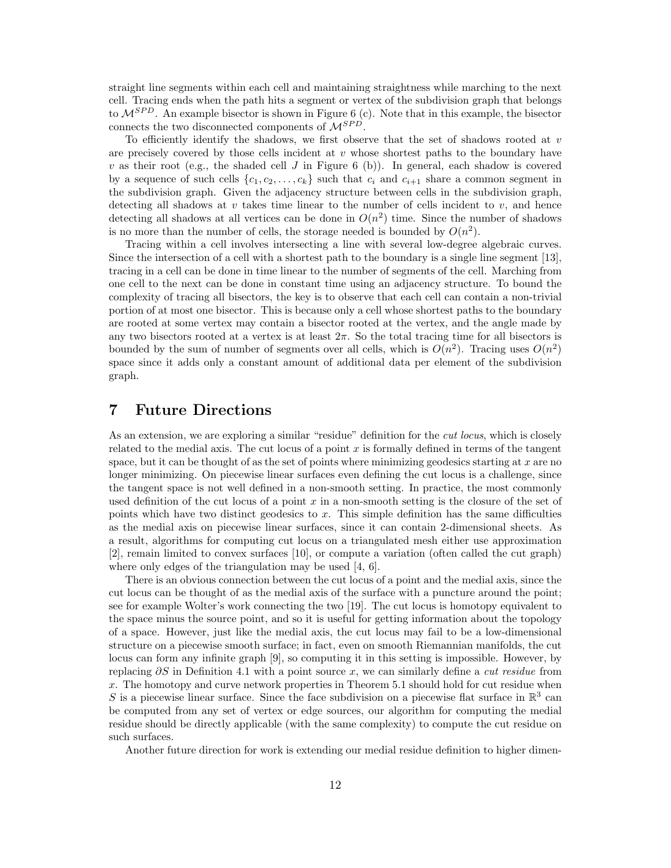straight line segments within each cell and maintaining straightness while marching to the next cell. Tracing ends when the path hits a segment or vertex of the subdivision graph that belongs to  $\mathcal{M}^{SPD}$ . An example bisector is shown in Figure 6 (c). Note that in this example, the bisector connects the two disconnected components of  $\mathcal{M}^{SPD}$ .

To efficiently identify the shadows, we first observe that the set of shadows rooted at  $v$ are precisely covered by those cells incident at  $v$  whose shortest paths to the boundary have v as their root (e.g., the shaded cell J in Figure 6 (b)). In general, each shadow is covered by a sequence of such cells  $\{c_1, c_2, \ldots, c_k\}$  such that  $c_i$  and  $c_{i+1}$  share a common segment in the subdivision graph. Given the adjacency structure between cells in the subdivision graph, detecting all shadows at  $v$  takes time linear to the number of cells incident to  $v$ , and hence detecting all shadows at all vertices can be done in  $O(n^2)$  time. Since the number of shadows is no more than the number of cells, the storage needed is bounded by  $O(n^2)$ .

Tracing within a cell involves intersecting a line with several low-degree algebraic curves. Since the intersection of a cell with a shortest path to the boundary is a single line segment [13], tracing in a cell can be done in time linear to the number of segments of the cell. Marching from one cell to the next can be done in constant time using an adjacency structure. To bound the complexity of tracing all bisectors, the key is to observe that each cell can contain a non-trivial portion of at most one bisector. This is because only a cell whose shortest paths to the boundary are rooted at some vertex may contain a bisector rooted at the vertex, and the angle made by any two bisectors rooted at a vertex is at least  $2\pi$ . So the total tracing time for all bisectors is bounded by the sum of number of segments over all cells, which is  $O(n^2)$ . Tracing uses  $O(n^2)$ space since it adds only a constant amount of additional data per element of the subdivision graph.

## 7 Future Directions

As an extension, we are exploring a similar "residue" definition for the *cut locus*, which is closely related to the medial axis. The cut locus of a point  $x$  is formally defined in terms of the tangent space, but it can be thought of as the set of points where minimizing geodesics starting at  $x$  are no longer minimizing. On piecewise linear surfaces even defining the cut locus is a challenge, since the tangent space is not well defined in a non-smooth setting. In practice, the most commonly used definition of the cut locus of a point  $x$  in a non-smooth setting is the closure of the set of points which have two distinct geodesics to  $x$ . This simple definition has the same difficulties as the medial axis on piecewise linear surfaces, since it can contain 2-dimensional sheets. As a result, algorithms for computing cut locus on a triangulated mesh either use approximation [2], remain limited to convex surfaces [10], or compute a variation (often called the cut graph) where only edges of the triangulation may be used [4, 6].

There is an obvious connection between the cut locus of a point and the medial axis, since the cut locus can be thought of as the medial axis of the surface with a puncture around the point; see for example Wolter's work connecting the two [19]. The cut locus is homotopy equivalent to the space minus the source point, and so it is useful for getting information about the topology of a space. However, just like the medial axis, the cut locus may fail to be a low-dimensional structure on a piecewise smooth surface; in fact, even on smooth Riemannian manifolds, the cut locus can form any infinite graph [9], so computing it in this setting is impossible. However, by replacing  $\partial S$  in Definition 4.1 with a point source x, we can similarly define a *cut residue* from x. The homotopy and curve network properties in Theorem 5.1 should hold for cut residue when S is a piecewise linear surface. Since the face subdivision on a piecewise flat surface in  $\mathbb{R}^3$  can be computed from any set of vertex or edge sources, our algorithm for computing the medial residue should be directly applicable (with the same complexity) to compute the cut residue on such surfaces.

Another future direction for work is extending our medial residue definition to higher dimen-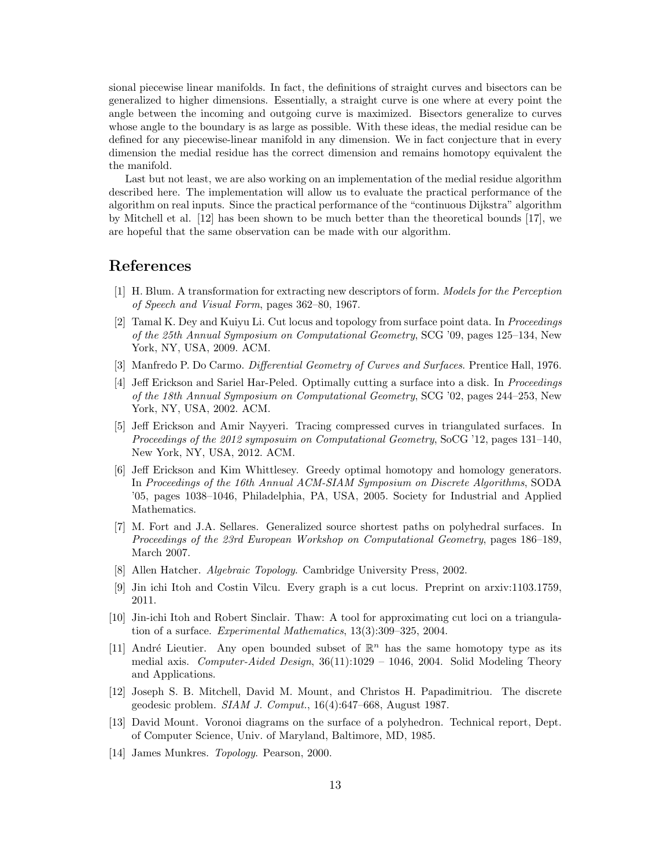sional piecewise linear manifolds. In fact, the definitions of straight curves and bisectors can be generalized to higher dimensions. Essentially, a straight curve is one where at every point the angle between the incoming and outgoing curve is maximized. Bisectors generalize to curves whose angle to the boundary is as large as possible. With these ideas, the medial residue can be defined for any piecewise-linear manifold in any dimension. We in fact conjecture that in every dimension the medial residue has the correct dimension and remains homotopy equivalent the the manifold.

Last but not least, we are also working on an implementation of the medial residue algorithm described here. The implementation will allow us to evaluate the practical performance of the algorithm on real inputs. Since the practical performance of the "continuous Dijkstra" algorithm by Mitchell et al. [12] has been shown to be much better than the theoretical bounds [17], we are hopeful that the same observation can be made with our algorithm.

# References

- [1] H. Blum. A transformation for extracting new descriptors of form. Models for the Perception of Speech and Visual Form, pages 362–80, 1967.
- [2] Tamal K. Dey and Kuiyu Li. Cut locus and topology from surface point data. In Proceedings of the 25th Annual Symposium on Computational Geometry, SCG '09, pages 125–134, New York, NY, USA, 2009. ACM.
- [3] Manfredo P. Do Carmo. Differential Geometry of Curves and Surfaces. Prentice Hall, 1976.
- [4] Jeff Erickson and Sariel Har-Peled. Optimally cutting a surface into a disk. In Proceedings of the 18th Annual Symposium on Computational Geometry, SCG '02, pages 244–253, New York, NY, USA, 2002. ACM.
- [5] Jeff Erickson and Amir Nayyeri. Tracing compressed curves in triangulated surfaces. In Proceedings of the 2012 symposuim on Computational Geometry, SoCG '12, pages 131–140, New York, NY, USA, 2012. ACM.
- [6] Jeff Erickson and Kim Whittlesey. Greedy optimal homotopy and homology generators. In Proceedings of the 16th Annual ACM-SIAM Symposium on Discrete Algorithms, SODA '05, pages 1038–1046, Philadelphia, PA, USA, 2005. Society for Industrial and Applied Mathematics.
- [7] M. Fort and J.A. Sellares. Generalized source shortest paths on polyhedral surfaces. In Proceedings of the 23rd European Workshop on Computational Geometry, pages 186–189, March 2007.
- [8] Allen Hatcher. Algebraic Topology. Cambridge University Press, 2002.
- [9] Jin ichi Itoh and Costin Vîlcu. Every graph is a cut locus. Preprint on arxiv:1103.1759, 2011.
- [10] Jin-ichi Itoh and Robert Sinclair. Thaw: A tool for approximating cut loci on a triangulation of a surface. Experimental Mathematics, 13(3):309–325, 2004.
- [11] André Lieutier. Any open bounded subset of  $\mathbb{R}^n$  has the same homotopy type as its medial axis. Computer-Aided Design,  $36(11):1029 - 1046$ , 2004. Solid Modeling Theory and Applications.
- [12] Joseph S. B. Mitchell, David M. Mount, and Christos H. Papadimitriou. The discrete geodesic problem.  $SIAM$  J. Comput.,  $16(4):647-668$ , August 1987.
- [13] David Mount. Voronoi diagrams on the surface of a polyhedron. Technical report, Dept. of Computer Science, Univ. of Maryland, Baltimore, MD, 1985.
- [14] James Munkres. Topology. Pearson, 2000.